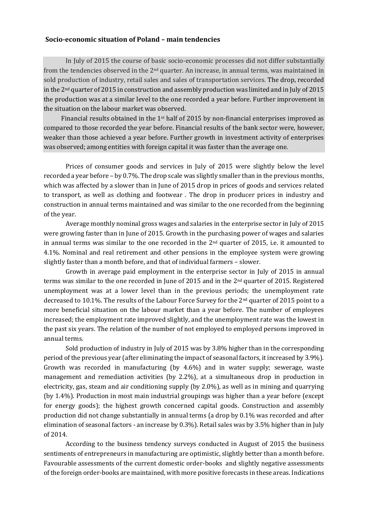## **Socio-economic situation of Poland – main tendencies**

In July of 2015 the course of basic socio-economic processes did not differ substantially from the tendencies observed in the 2nd quarter. An increase, in annual terms, was maintained in sold production of industry, retail sales and sales of transportation services. The drop, recorded in the  $2<sup>nd</sup>$  quarter of 2015 in construction and assembly production was limited and in July of 2015 the production was at a similar level to the one recorded a year before. Further improvement in the situation on the labour market was observed.

Financial results obtained in the 1st half of 2015 by non-financial enterprises improved as compared to those recorded the year before. Financial results of the bank sector were, however, weaker than those achieved a year before. Further growth in investment activity of enterprises was observed; among entities with foreign capital it was faster than the average one.

Prices of consumer goods and services in July of 2015 were slightly below the level recorded a year before – by 0.7%. The drop scale was slightly smaller than in the previous months, which was affected by a slower than in June of 2015 drop in prices of goods and services related to transport, as well as clothing and footwear . The drop in producer prices in industry and construction in annual terms maintained and was similar to the one recorded from the beginning of the year.

Average monthly nominal gross wages and salaries in the enterprise sector in July of 2015 were growing faster than in June of 2015. Growth in the purchasing power of wages and salaries in annual terms was similar to the one recorded in the 2nd quarter of 2015, i.e. it amounted to 4.1%. Nominal and real retirement and other pensions in the employee system were growing slightly faster than a month before, and that of individual farmers – slower.

Growth in average paid employment in the enterprise sector in July of 2015 in annual terms was similar to the one recorded in June of 2015 and in the 2nd quarter of 2015. Registered unemployment was at a lower level than in the previous periods; the unemployment rate decreased to 10.1%. The results of the Labour Force Survey for the 2nd quarter of 2015 point to a more beneficial situation on the labour market than a year before. The number of employees increased; the employment rate improved slightly, and the unemployment rate was the lowest in the past six years. The relation of the number of not employed to employed persons improved in annual terms.

Sold production of industry in July of 2015 was by 3.8% higher than in the corresponding period of the previous year (after eliminating the impact of seasonal factors, it increased by 3.9%). Growth was recorded in manufacturing (by 4.6%) and in water supply; sewerage, waste management and remediation activities (by 2.2%), at a simultaneous drop in production in electricity, gas, steam and air conditioning supply (by 2.0%), as well as in mining and quarrying (by 1.4%). Production in most main industrial groupings was higher than a year before (except for energy goods); the highest growth concerned capital goods. Construction and assembly production did not change substantially in annual terms (a drop by 0.1% was recorded and after elimination of seasonal factors - an increase by 0.3%). Retail sales was by 3.5% higher than in July of 2014.

According to the business tendency surveys conducted in August of 2015 the business sentiments of entrepreneurs in manufacturing are optimistic, slightly better than a month before. Favourable assessments of the current domestic order-books and slightly negative assessments of the foreign order-books are maintained, with more positive forecasts in these areas. Indications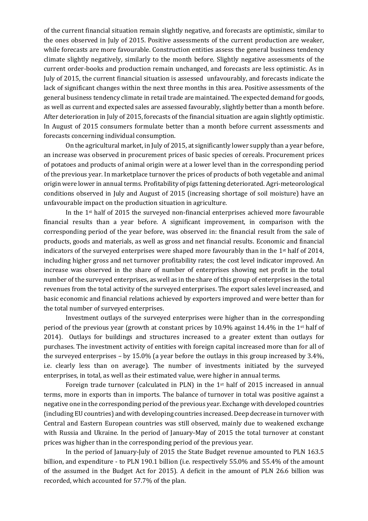of the current financial situation remain slightly negative, and forecasts are optimistic, similar to the ones observed in July of 2015. Positive assessments of the current production are weaker, while forecasts are more favourable. Construction entities assess the general business tendency climate slightly negatively, similarly to the month before. Slightly negative assessments of the current order-books and production remain unchanged, and forecasts are less optimistic. As in July of 2015, the current financial situation is assessed unfavourably, and forecasts indicate the lack of significant changes within the next three months in this area. Positive assessments of the general business tendency climate in retail trade are maintained. The expected demand for goods, as well as current and expected sales are assessed favourably, slightly better than a month before. After deterioration in July of 2015, forecasts of the financial situation are again slightly optimistic. In August of 2015 consumers formulate better than a month before current assessments and forecasts concerning individual consumption.

On the agricultural market, in July of 2015, at significantly lower supply than a year before, an increase was observed in procurement prices of basic species of cereals. Procurement prices of potatoes and products of animal origin were at a lower level than in the corresponding period of the previous year. In marketplace turnover the prices of products of both vegetable and animal origin were lower in annual terms. Profitability of pigs fattening deteriorated. Agri-meteorological conditions observed in July and August of 2015 (increasing shortage of soil moisture) have an unfavourable impact on the production situation in agriculture.

In the 1st half of 2015 the surveyed non-financial enterprises achieved more favourable financial results than a year before. A significant improvement, in comparison with the corresponding period of the year before, was observed in: the financial result from the sale of products, goods and materials, as well as gross and net financial results. Economic and financial indicators of the surveyed enterprises were shaped more favourably than in the  $1<sup>st</sup>$  half of 2014, including higher gross and net turnover profitability rates; the cost level indicator improved. An increase was observed in the share of number of enterprises showing net profit in the total number of the surveyed enterprises, as well as in the share of this group of enterprises in the total revenues from the total activity of the surveyed enterprises. The export sales level increased, and basic economic and financial relations achieved by exporters improved and were better than for the total number of surveyed enterprises.

Investment outlays of the surveyed enterprises were higher than in the corresponding period of the previous year (growth at constant prices by 10.9% against 14.4% in the 1st half of 2014). Outlays for buildings and structures increased to a greater extent than outlays for purchases. The investment activity of entities with foreign capital increased more than for all of the surveyed enterprises – by 15.0% (a year before the outlays in this group increased by 3.4%, i.e. clearly less than on average). The number of investments initiated by the surveyed enterprises, in total, as well as their estimated value, were higher in annual terms.

Foreign trade turnover (calculated in PLN) in the  $1<sup>st</sup>$  half of 2015 increased in annual terms, more in exports than in imports. The balance of turnover in total was positive against a negative one in the corresponding period of the previous year. Exchange with developed countries (including EU countries) and with developing countries increased. Deep decrease in turnover with Central and Eastern European countries was still observed, mainly due to weakened exchange with Russia and Ukraine. In the period of January-May of 2015 the total turnover at constant prices was higher than in the corresponding period of the previous year.

In the period of January-July of 2015 the State Budget revenue amounted to PLN 163.5 billion, and expenditure - to PLN 190.1 billion (i.e. respectively 55.0% and 55.4% of the amount of the assumed in the Budget Act for 2015). A deficit in the amount of PLN 26.6 billion was recorded, which accounted for 57.7% of the plan.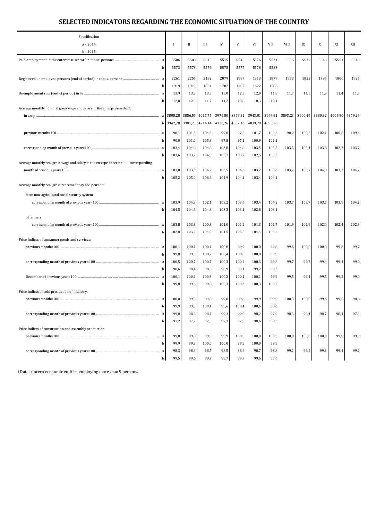## **SELECTED INDICATORS REGARDING THE ECONOMIC SITUATION OF THE COUNTRY**

| Specification                                                                                    |                          |                |                |                |               |                |                |             |                         |         |         |         |
|--------------------------------------------------------------------------------------------------|--------------------------|----------------|----------------|----------------|---------------|----------------|----------------|-------------|-------------------------|---------|---------|---------|
| $a - 2014$                                                                                       | $\mathbf{I}$             | $_{\rm II}$    | Ш              | IV             | V             | VI             | VII            | <b>VIII</b> | IX                      | X       | XI      | XII     |
| $b - 2015$                                                                                       |                          |                |                |                |               |                |                |             |                         |         |         |         |
|                                                                                                  | 5506                     | 5508           | 5515           | 5515           | 5515          | 5526           | 5531           | 5535        | 5537                    | 5545    | 5551    | 5549    |
|                                                                                                  | 5573<br>b                | 5573           | 5576           | 5575           | 5577          | 5578           | 5583           |             |                         |         |         |         |
|                                                                                                  | 2261                     | 2256           | 2182           | 2079           | 1987          | 1913           | 1879           | 1853        | 1822                    | 1785    | 1800    | 1825    |
|                                                                                                  | 1919                     | 1919           | 1861           | 1782           | 1702          | 1622           | 1586           |             |                         |         |         |         |
|                                                                                                  | 13,9                     | 13,9           | 13,5           | 13,0           | 12,5          | 12,0           | 11,8           | 11,7        | 11,5                    | 11,3    | 11,4    | 11,5    |
|                                                                                                  | 12,0<br>h                | 12,0           | 11,7           | 11,2           | 10,8          | 10,3           | 10,1           |             |                         |         |         |         |
| Average monthly nominal gross wage and salary in the enterprise sector <sup>1</sup> :            |                          |                |                |                |               |                |                |             |                         |         |         |         |
|                                                                                                  |                          | 3856,56        | 4017,75        | 3976,80        | 3878,31       | 3943,01        |                |             | 3964,91 3893,23 3900,49 | 3980,92 | 4004,80 | 4379,26 |
|                                                                                                  | 3942,78<br>b             | 3981,75        | 4214,14        | 4123,26        | 4002,16       | 4039,70        | 4095,26        |             |                         |         |         |         |
|                                                                                                  |                          |                |                |                |               |                |                |             |                         |         |         |         |
| a                                                                                                | 90,1                     | 101,3          | 104,2          | 99,0           | 97,5          | 101,7          | 100,6          | 98,2        | 100,2                   | 102,1   | 100,6   | 109,4   |
|                                                                                                  | 90,0<br>h                | 101,0          | 105,8          | 97,8           | 97,1          | 100,9          | 101,4          |             |                         |         |         |         |
|                                                                                                  | 103,4                    | 104,0          | 104,8          | 103,8          | 104,8         | 103,5          | 103,5          | 103,5       | 103,4                   | 103,8   | 102,7   | 103,7   |
|                                                                                                  | 103,6                    | 103,2          | 104,9          | 103,7          | 103,2         | 102,5          | 103,3          |             |                         |         |         |         |
| Average monthly real gross wage and salary in the enterprise sector <sup>1</sup> — corresponding |                          |                |                |                |               |                |                |             | 103,7                   |         |         |         |
|                                                                                                  | 103,0<br>a<br>105,2<br>h | 103,3<br>105,0 | 104,2          | 103,5<br>104,9 | 104,6         | 103,2          | 103,6<br>104,1 | 103,7       |                         | 104,3   | 103,2   | 104,7   |
| Average monthly real gross retirement pay and pension:                                           |                          |                | 106,6          |                | 104,1         | 103,4          |                |             |                         |         |         |         |
|                                                                                                  |                          |                |                |                |               |                |                |             |                         |         |         |         |
| from non-agricultural social security system                                                     |                          |                |                |                |               |                |                |             |                         |         |         |         |
| corresponding month of previous year=100<br>a                                                    | 103,9                    | 104,3          | 102,1          | 103,2          | 103,6         | 103,4          | 104,2          | 103,7       | 103,7                   | 103,7   | 103,9   | 104,2   |
|                                                                                                  | 104,5                    | 104,6          | 104,8          | 103,3          | 103,1         | 102,8          | 103,1          |             |                         |         |         |         |
| of farmers                                                                                       |                          |                |                |                |               |                |                |             |                         |         |         |         |
| corresponding month of previous year=100                                                         | 103,8                    | 103,8          | 100,8          | 101,0          | 101,2         | 101,3          | 101,7          | 101,9       | 101,9                   | 102,0   | 102,4   | 102,9   |
|                                                                                                  | 102,8                    | 103,2          | 104,9          | 104,5          | 105,5         | 104,4          | 103,6          |             |                         |         |         |         |
| Price indices of consumer goods and services:                                                    |                          |                |                |                |               |                |                |             |                         |         |         |         |
|                                                                                                  | 100,1<br>99,8            | 100,1<br>99,9  | 100,1<br>100,2 | 100,0          | 99,9<br>100,0 | 100,0          | 99,8<br>99,9   | 99,6        | 100,0                   | 100,0   | 99,8    | 99,7    |
|                                                                                                  | 100,5                    | 100,7          | 100,7          | 100,4<br>100,3 | 100,2         | 100,0<br>100,3 | 99,8           | 99,7        | 99,7                    | 99,4    | 99,4    | 99,0    |
|                                                                                                  | 98,6<br>h                | 98,4           | 98,5           | 98,9           | 99,1          | 99,2           | 99,3           |             |                         |         |         |         |
|                                                                                                  | 100,1<br>a               | 100,2          | 100,3          | 100,2          | 100,1         | 100,1          | 99,9           | 99,5        | 99,4                    | 99,5    | 99,2    | 99,0    |
|                                                                                                  | 99,8                     | 99,6           | 99,8           | 100,3          | 100,3         | 100,3          | 100,2          |             |                         |         |         |         |
| Price indices of sold production of industry:                                                    |                          |                |                |                |               |                |                |             |                         |         |         |         |
|                                                                                                  | 100,0<br>a               | 99,9           | 99,8           | 99,8           | 99,8          | 99,9           | 99,9           | 100,3       | 100,0                   | 99,6    | 99,5    | 98,8    |
|                                                                                                  | 99,9<br>h                | 99,9           | 100,1          | 99,6           | 100,4         | 100,6          | 99,6           |             |                         |         |         |         |
|                                                                                                  | 99,0                     | 98,6           | 98,7           | 99,3           | 99,0          | 98,2           | 97,9           | 98,5        | 98,4                    | 98,7    | 98,4    | 97,3    |
| h                                                                                                | 97,2                     | 97,2           | 97,5           | 97,3           | 97,9          | 98,6           | 98,3           |             |                         |         |         |         |
| Price indices of construction and assembly production:                                           |                          |                |                |                |               |                |                |             |                         |         |         |         |
|                                                                                                  | 99,8                     | 99,8           | 99,9           | 99,9           | 100,0         | 100,0          | 100,0          | 100,0       | 100,0                   | 100,0   | 99,9    | 99,9    |
| h                                                                                                | 99,9                     | 99,9           | 100,0          | 100,0          | 99,9          | 100,0          | 99,9           |             |                         |         |         |         |
|                                                                                                  | 98,3                     | 98,4           | 98,5           | 98,5           | 98,6          | 98,7           | 98,8           | 99,1        | 99,2                    | 99,3    | 99,4    | 99,2    |
|                                                                                                  | 99,5<br>b                | 99,6           | 99,7           | 99,7           | 99,7          | 99,6           | 99,6           |             |                         |         |         |         |

*1*Data concern economic entities employing more than 9 persons.